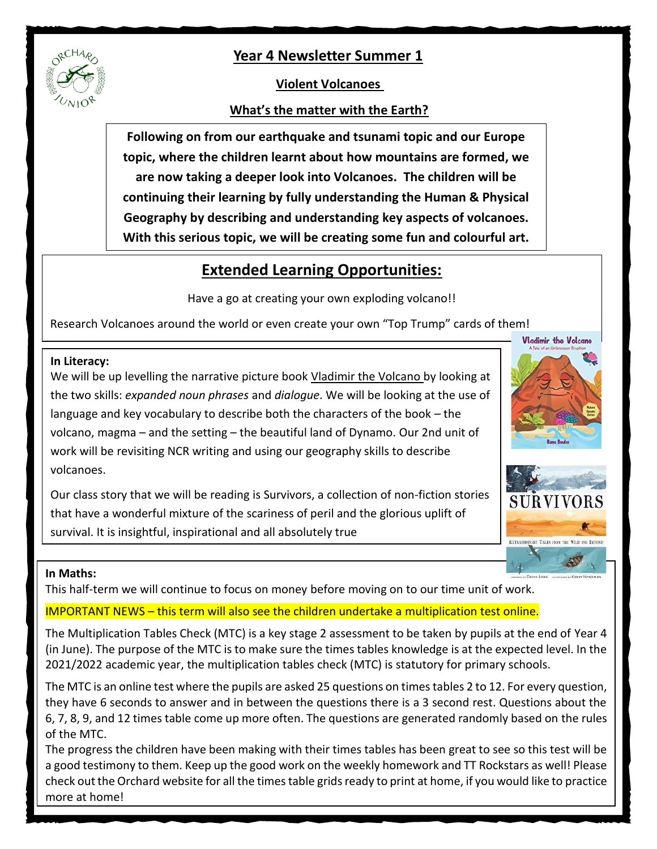

## **Violent Volcanoes**

## **What's the matter with the Earth?**

**Following on from our earthquake and tsunami topic and our Europe topic, where the children learnt about how mountains are formed, we are now taking a deeper look into Volcanoes. The children will be continuing their learning by fully understanding the Human & Physical Geography by describing and understanding key aspects of volcanoes. With this serious topic, we will be creating some fun and colourful art.**

# **Extended Learning Opportunities:**

Have a go at creating your own exploding volcano!!

Research Volcanoes around the world or even create your own "Top Trump" cards of them!

#### **In Literacy:**

We will be up levelling the narrative picture book Vladimir the Volcano by looking at the two skills: *expanded noun phrases* and *dialogue*. We will be looking at the use of language and key vocabulary to describe both the characters of the book – the volcano, magma – and the setting – the beautiful land of Dynamo. Our 2nd unit of work will be revisiting NCR writing and using our geography skills to describe volcanoes.

Our class story that we will be reading is Survivors, a collection of non-fiction stories that have a wonderful mixture of the scariness of peril and the glorious uplift of survival. It is insightful, inspirational and all absolutely true

#### **In Maths:**

This half-term we will continue to focus on money before moving on to our time unit of work.

## IMPORTANT NEWS – this term will also see the children undertake a multiplication test online.

The Multiplication Tables Check (MTC) is a key stage 2 assessment to be taken by pupils at the end of Year 4 (in June). The purpose of the MTC is to make sure the times tables knowledge is at the expected level. In the 2021/2022 academic year, the multiplication tables check (MTC) is statutory for primary schools.

The MTC is an online test where the pupils are asked 25 questions on times tables 2 to 12. For every question, they have 6 seconds to answer and in between the questions there is a 3 second rest. Questions about the 6, 7, 8, 9, and 12 times table come up more often. The questions are generated randomly based on the rules of the MTC.

The progress the children have been making with their times tables has been great to see so this test will be a good testimony to them. Keep up the good work on the weekly homework and TT Rockstars as well! Please check out the Orchard website for all the times table grids ready to print at home, if you would like to practice more at home!





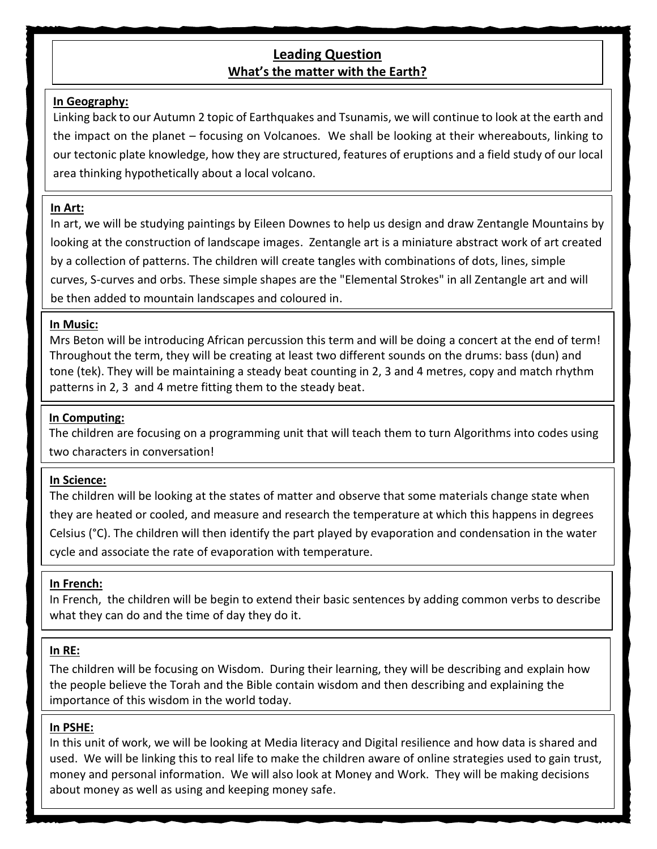## **Leading Question What's the matter with the Earth?**

#### **In Geography:**

Linking back to our Autumn 2 topic of Earthquakes and Tsunamis, we will continue to look at the earth and the impact on the planet – focusing on Volcanoes. We shall be looking at their whereabouts, linking to our tectonic plate knowledge, how they are structured, features of eruptions and a field study of our local area thinking hypothetically about a local volcano.

#### **In Art:**

In art, we will be studying paintings by Eileen Downes to help us design and draw Zentangle Mountains by looking at the construction of landscape images. Zentangle art is a miniature abstract work of art created by a collection of patterns. The children will create tangles with combinations of dots, lines, simple curves, S-curves and orbs. These simple shapes are the "Elemental Strokes" in all Zentangle art and will be then added to mountain landscapes and coloured in.

#### **In Music:**

Mrs Beton will be introducing African percussion this term and will be doing a concert at the end of term! Throughout the term, they will be creating at least two different sounds on the drums: bass (dun) and tone (tek). They will be maintaining a steady beat counting in 2, 3 and 4 metres, copy and match rhythm patterns in 2, 3 and 4 metre fitting them to the steady beat.

#### **In Computing:**

The children are focusing on a programming unit that will teach them to turn Algorithms into codes using two characters in conversation!

#### **In Science:**

The children will be looking at the states of matter and observe that some materials change state when they are heated or cooled, and measure and research the temperature at which this happens in degrees Celsius (°C). The children will then identify the part played by evaporation and condensation in the water cycle and associate the rate of evaporation with temperature.

#### **In French:**

In French, the children will be begin to extend their basic sentences by adding common verbs to describe what they can do and the time of day they do it.

#### **In RE:**

The children will be focusing on Wisdom. During their learning, they will be describing and explain how the people believe the Torah and the Bible contain wisdom and then describing and explaining the importance of this wisdom in the world today.

#### **In PSHE:**

In this unit of work, we will be looking at Media literacy and Digital resilience and how data is shared and used. We will be linking this to real life to make the children aware of online strategies used to gain trust, money and personal information. We will also look at Money and Work. They will be making decisions about money as well as using and keeping money safe.